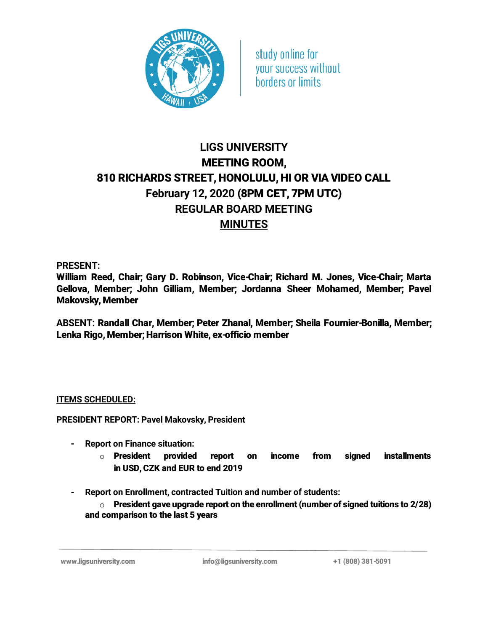

study online for your success without **borders or limits** 

## LIGS UNIVERSITY MEETING ROOM, 810 RICHARDS STREET, HONOLULU, HI OR VIA VIDEO CALL February 12, 2020 (8PM CET, 7PM UTC) REGULAR BOARD MEETING **MINUTES**

PRESENT:

William Reed, Chair; Gary D. Robinson, Vice-Chair; Richard M. Jones, Vice-Chair; Marta Gellova, Member; John Gilliam, Member; Jordanna Sheer Mohamed, Member; Pavel Makovsky, Member

ABSENT: Randall Char, Member; Peter Zhanal, Member; Sheila Fournier-Bonilla, Member; Lenka Rigo, Member; Harrison White, ex-officio member

## ITEMS SCHEDULED:

PRESIDENT REPORT: Pavel Makovsky, President

- Report on Finance situation:
	- $\circ$  President provided report on income from signed installments in USD, CZK and EUR to end 2019
- Report on Enrollment, contracted Tuition and number of students:

 $\circ$  President gave upgrade report on the enrollment (number of signed tuitions to 2/28) and comparison to the last 5 years

www.ligsuniversity.com info@ligsuniversity.com +1 (808) 381-5091